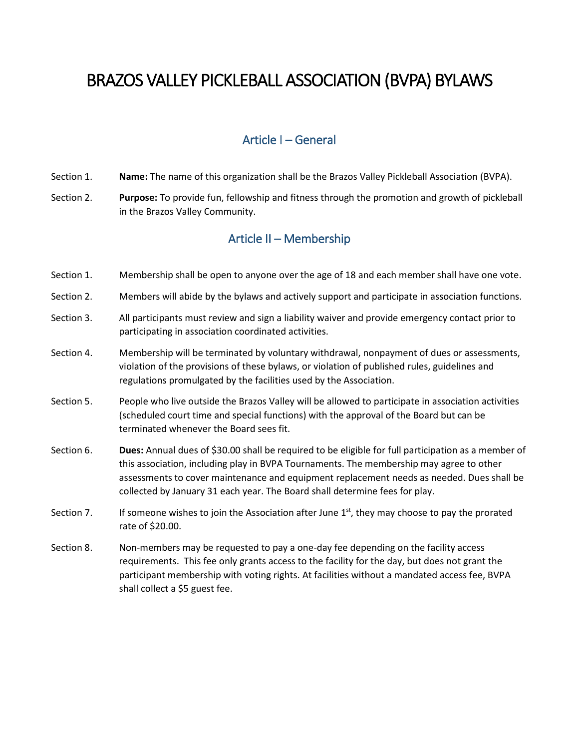# BRAZOS VALLEY PICKLEBALL ASSOCIATION (BVPA) BYLAWS

# Article I – General

- Section 1. **Name:** The name of this organization shall be the Brazos Valley Pickleball Association (BVPA).
- Section 2. **Purpose:** To provide fun, fellowship and fitness through the promotion and growth of pickleball in the Brazos Valley Community.

# Article II – Membership

- Section 1. Membership shall be open to anyone over the age of 18 and each member shall have one vote.
- Section 2. Members will abide by the bylaws and actively support and participate in association functions.
- Section 3. All participants must review and sign a liability waiver and provide emergency contact prior to participating in association coordinated activities.
- Section 4. Membership will be terminated by voluntary withdrawal, nonpayment of dues or assessments, violation of the provisions of these bylaws, or violation of published rules, guidelines and regulations promulgated by the facilities used by the Association.
- Section 5. People who live outside the Brazos Valley will be allowed to participate in association activities (scheduled court time and special functions) with the approval of the Board but can be terminated whenever the Board sees fit.
- Section 6. **Dues:** Annual dues of \$30.00 shall be required to be eligible for full participation as a member of this association, including play in BVPA Tournaments. The membership may agree to other assessments to cover maintenance and equipment replacement needs as needed. Dues shall be collected by January 31 each year. The Board shall determine fees for play.
- Section 7. If someone wishes to join the Association after June  $1<sup>st</sup>$ , they may choose to pay the prorated rate of \$20.00.
- Section 8. Non-members may be requested to pay a one-day fee depending on the facility access requirements. This fee only grants access to the facility for the day, but does not grant the participant membership with voting rights. At facilities without a mandated access fee, BVPA shall collect a \$5 guest fee.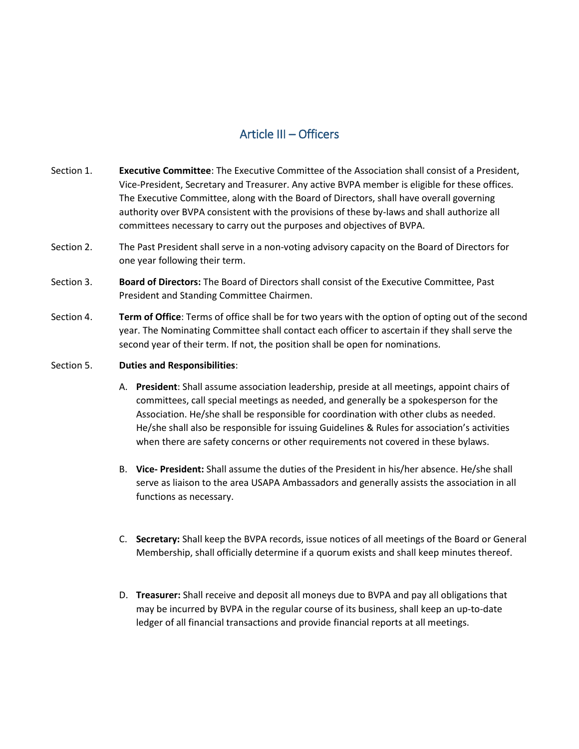# Article III – Officers

- Section 1. **Executive Committee**: The Executive Committee of the Association shall consist of a President, Vice-President, Secretary and Treasurer. Any active BVPA member is eligible for these offices. The Executive Committee, along with the Board of Directors, shall have overall governing authority over BVPA consistent with the provisions of these by-laws and shall authorize all committees necessary to carry out the purposes and objectives of BVPA.
- Section 2. The Past President shall serve in a non-voting advisory capacity on the Board of Directors for one year following their term.
- Section 3. **Board of Directors:** The Board of Directors shall consist of the Executive Committee, Past President and Standing Committee Chairmen.
- Section 4. **Term of Office**: Terms of office shall be for two years with the option of opting out of the second year. The Nominating Committee shall contact each officer to ascertain if they shall serve the second year of their term. If not, the position shall be open for nominations.
- Section 5. **Duties and Responsibilities**:
	- A. **President**: Shall assume association leadership, preside at all meetings, appoint chairs of committees, call special meetings as needed, and generally be a spokesperson for the Association. He/she shall be responsible for coordination with other clubs as needed. He/she shall also be responsible for issuing Guidelines & Rules for association's activities when there are safety concerns or other requirements not covered in these bylaws.
	- B. **Vice- President:** Shall assume the duties of the President in his/her absence. He/she shall serve as liaison to the area USAPA Ambassadors and generally assists the association in all functions as necessary.
	- C. **Secretary:** Shall keep the BVPA records, issue notices of all meetings of the Board or General Membership, shall officially determine if a quorum exists and shall keep minutes thereof.
	- D. **Treasurer:** Shall receive and deposit all moneys due to BVPA and pay all obligations that may be incurred by BVPA in the regular course of its business, shall keep an up-to-date ledger of all financial transactions and provide financial reports at all meetings.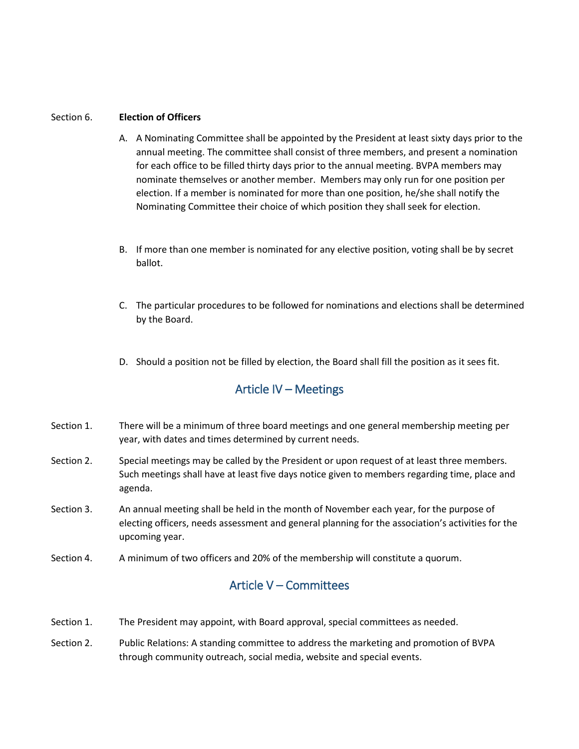#### Section 6. **Election of Officers**

- A. A Nominating Committee shall be appointed by the President at least sixty days prior to the annual meeting. The committee shall consist of three members, and present a nomination for each office to be filled thirty days prior to the annual meeting. BVPA members may nominate themselves or another member. Members may only run for one position per election. If a member is nominated for more than one position, he/she shall notify the Nominating Committee their choice of which position they shall seek for election.
- B. If more than one member is nominated for any elective position, voting shall be by secret ballot.
- C. The particular procedures to be followed for nominations and elections shall be determined by the Board.
- D. Should a position not be filled by election, the Board shall fill the position as it sees fit.

### Article IV – Meetings

- Section 1. There will be a minimum of three board meetings and one general membership meeting per year, with dates and times determined by current needs.
- Section 2. Special meetings may be called by the President or upon request of at least three members. Such meetings shall have at least five days notice given to members regarding time, place and agenda.
- Section 3. An annual meeting shall be held in the month of November each year, for the purpose of electing officers, needs assessment and general planning for the association's activities for the upcoming year.
- Section 4. A minimum of two officers and 20% of the membership will constitute a quorum.

#### Article V – Committees

- Section 1. The President may appoint, with Board approval, special committees as needed.
- Section 2. Public Relations: A standing committee to address the marketing and promotion of BVPA through community outreach, social media, website and special events.